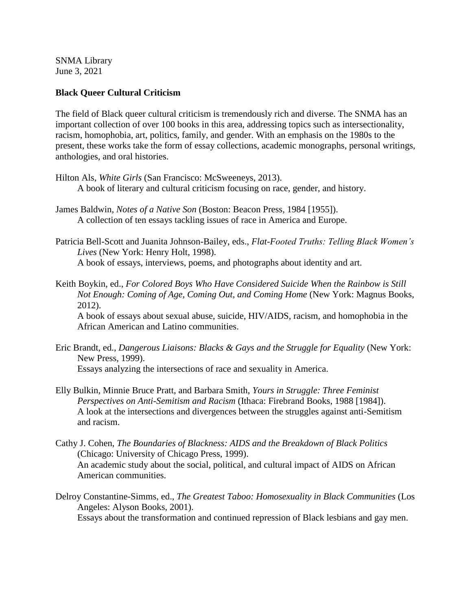SNMA Library June 3, 2021

## **Black Queer Cultural Criticism**

The field of Black queer cultural criticism is tremendously rich and diverse. The SNMA has an important collection of over 100 books in this area, addressing topics such as intersectionality, racism, homophobia, art, politics, family, and gender. With an emphasis on the 1980s to the present, these works take the form of essay collections, academic monographs, personal writings, anthologies, and oral histories.

- Hilton Als, *White Girls* (San Francisco: McSweeneys, 2013). A book of literary and cultural criticism focusing on race, gender, and history.
- James Baldwin, *Notes of a Native Son* (Boston: Beacon Press, 1984 [1955]). A collection of ten essays tackling issues of race in America and Europe.

Patricia Bell-Scott and Juanita Johnson-Bailey, eds., *Flat-Footed Truths: Telling Black Women's Lives* (New York: Henry Holt, 1998). A book of essays, interviews, poems, and photographs about identity and art.

Keith Boykin, ed., *For Colored Boys Who Have Considered Suicide When the Rainbow is Still Not Enough: Coming of Age, Coming Out, and Coming Home* (New York: Magnus Books, 2012).

A book of essays about sexual abuse, suicide, HIV/AIDS, racism, and homophobia in the African American and Latino communities.

- Eric Brandt, ed., *Dangerous Liaisons: Blacks & Gays and the Struggle for Equality* (New York: New Press, 1999). Essays analyzing the intersections of race and sexuality in America.
- Elly Bulkin, Minnie Bruce Pratt, and Barbara Smith, *Yours in Struggle: Three Feminist Perspectives on Anti-Semitism and Racism* (Ithaca: Firebrand Books, 1988 [1984]). A look at the intersections and divergences between the struggles against anti-Semitism and racism.
- Cathy J. Cohen, *The Boundaries of Blackness: AIDS and the Breakdown of Black Politics*  (Chicago: University of Chicago Press, 1999). An academic study about the social, political, and cultural impact of AIDS on African American communities.
- Delroy Constantine-Simms, ed., *The Greatest Taboo: Homosexuality in Black Communities* (Los Angeles: Alyson Books, 2001).

Essays about the transformation and continued repression of Black lesbians and gay men.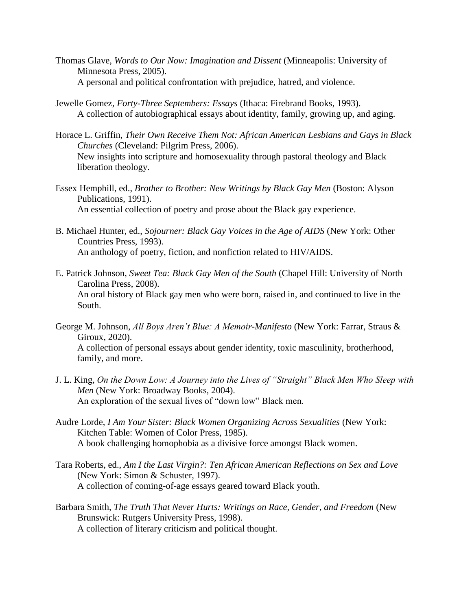- Thomas Glave, *Words to Our Now: Imagination and Dissent* (Minneapolis: University of Minnesota Press, 2005). A personal and political confrontation with prejudice, hatred, and violence.
- Jewelle Gomez, *Forty-Three Septembers: Essays* (Ithaca: Firebrand Books, 1993). A collection of autobiographical essays about identity, family, growing up, and aging.
- Horace L. Griffin, *Their Own Receive Them Not: African American Lesbians and Gays in Black Churches* (Cleveland: Pilgrim Press, 2006). New insights into scripture and homosexuality through pastoral theology and Black liberation theology.
- Essex Hemphill, ed., *Brother to Brother: New Writings by Black Gay Men* (Boston: Alyson Publications, 1991). An essential collection of poetry and prose about the Black gay experience.
- B. Michael Hunter, ed., *Sojourner: Black Gay Voices in the Age of AIDS* (New York: Other Countries Press, 1993). An anthology of poetry, fiction, and nonfiction related to HIV/AIDS.
- E. Patrick Johnson, *Sweet Tea: Black Gay Men of the South* (Chapel Hill: University of North Carolina Press, 2008). An oral history of Black gay men who were born, raised in, and continued to live in the South.
- George M. Johnson, *All Boys Aren't Blue: A Memoir-Manifesto* (New York: Farrar, Straus & Giroux, 2020). A collection of personal essays about gender identity, toxic masculinity, brotherhood, family, and more.
- J. L. King, *On the Down Low: A Journey into the Lives of "Straight" Black Men Who Sleep with Men* (New York: Broadway Books, 2004). An exploration of the sexual lives of "down low" Black men.
- Audre Lorde, *I Am Your Sister: Black Women Organizing Across Sexualities* (New York: Kitchen Table: Women of Color Press, 1985). A book challenging homophobia as a divisive force amongst Black women.
- Tara Roberts, ed., *Am I the Last Virgin?: Ten African American Reflections on Sex and Love*  (New York: Simon & Schuster, 1997). A collection of coming-of-age essays geared toward Black youth.
- Barbara Smith, *The Truth That Never Hurts: Writings on Race, Gender, and Freedom* (New Brunswick: Rutgers University Press, 1998). A collection of literary criticism and political thought.